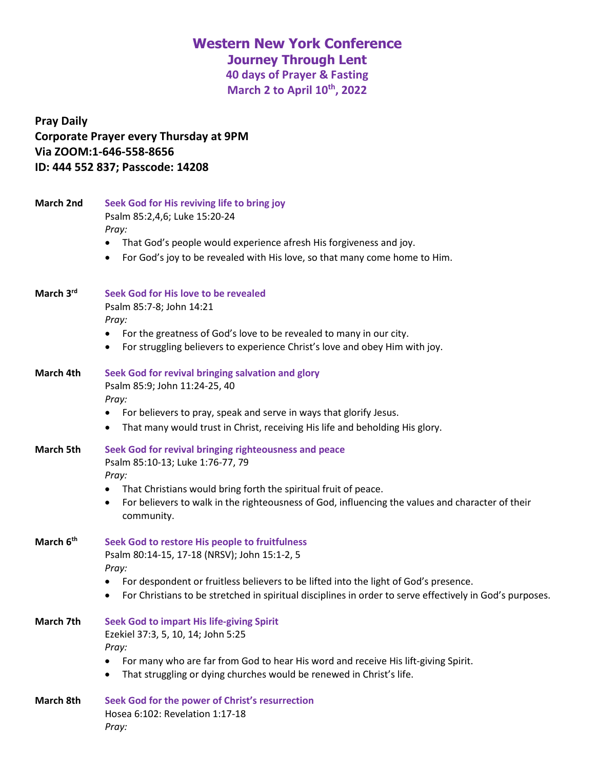# **Western New York Conference**

**Journey Through Lent**

**40 days of Prayer & Fasting March 2 to April 10th, 2022**

# **Pray Daily Corporate Prayer every Thursday at 9PM Via ZOOM:1-646-558-8656 ID: 444 552 837; Passcode: 14208**

| <b>March 2nd</b>      | Seek God for His reviving life to bring joy<br>Psalm 85:2,4,6; Luke 15:20-24                                                                                                                          |  |  |
|-----------------------|-------------------------------------------------------------------------------------------------------------------------------------------------------------------------------------------------------|--|--|
|                       | Pray:                                                                                                                                                                                                 |  |  |
|                       | That God's people would experience afresh His forgiveness and joy.<br>٠                                                                                                                               |  |  |
|                       | For God's joy to be revealed with His love, so that many come home to Him.<br>٠                                                                                                                       |  |  |
| March 3rd             | Seek God for His love to be revealed                                                                                                                                                                  |  |  |
|                       | Psalm 85:7-8; John 14:21<br>Pray:                                                                                                                                                                     |  |  |
|                       | For the greatness of God's love to be revealed to many in our city.                                                                                                                                   |  |  |
|                       | For struggling believers to experience Christ's love and obey Him with joy.                                                                                                                           |  |  |
| March 4th             | Seek God for revival bringing salvation and glory<br>Psalm 85:9; John 11:24-25, 40                                                                                                                    |  |  |
|                       | Pray:                                                                                                                                                                                                 |  |  |
|                       | For believers to pray, speak and serve in ways that glorify Jesus.                                                                                                                                    |  |  |
|                       | That many would trust in Christ, receiving His life and beholding His glory.                                                                                                                          |  |  |
| <b>March 5th</b>      | Seek God for revival bringing righteousness and peace<br>Psalm 85:10-13; Luke 1:76-77, 79<br>Pray:                                                                                                    |  |  |
|                       | That Christians would bring forth the spiritual fruit of peace.                                                                                                                                       |  |  |
|                       | For believers to walk in the righteousness of God, influencing the values and character of their<br>$\bullet$<br>community.                                                                           |  |  |
| March 6 <sup>th</sup> | Seek God to restore His people to fruitfulness                                                                                                                                                        |  |  |
|                       | Psalm 80:14-15, 17-18 (NRSV); John 15:1-2, 5                                                                                                                                                          |  |  |
|                       | Pray:                                                                                                                                                                                                 |  |  |
|                       | For despondent or fruitless believers to be lifted into the light of God's presence.<br>٠<br>For Christians to be stretched in spiritual disciplines in order to serve effectively in God's purposes. |  |  |
| March 7th             | <b>Seek God to impart His life-giving Spirit</b>                                                                                                                                                      |  |  |
|                       | Ezekiel 37:3, 5, 10, 14; John 5:25                                                                                                                                                                    |  |  |
|                       | Pray:                                                                                                                                                                                                 |  |  |
|                       | For many who are far from God to hear His word and receive His lift-giving Spirit.                                                                                                                    |  |  |
|                       | That struggling or dying churches would be renewed in Christ's life.<br>$\bullet$                                                                                                                     |  |  |
| <b>March 8th</b>      | Seek God for the power of Christ's resurrection                                                                                                                                                       |  |  |
|                       | Hosea 6:102: Revelation 1:17-18                                                                                                                                                                       |  |  |
|                       | Pray:                                                                                                                                                                                                 |  |  |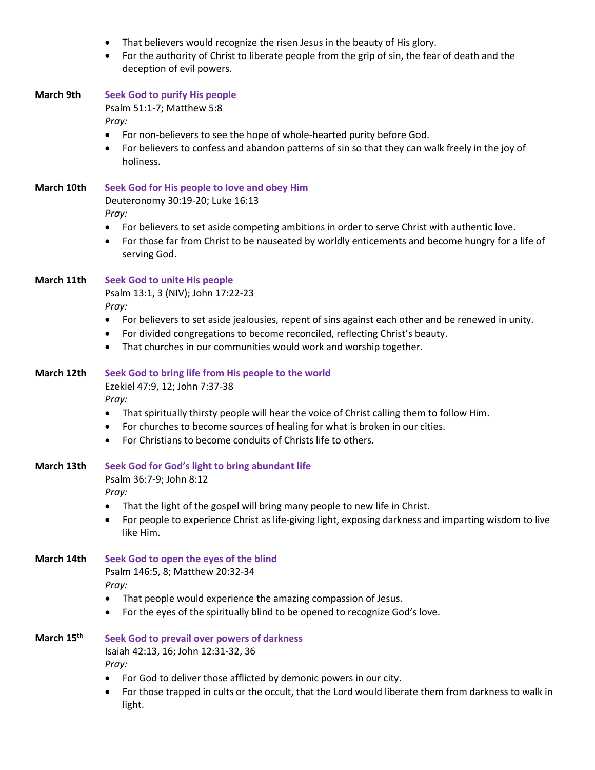- That believers would recognize the risen Jesus in the beauty of His glory.
- For the authority of Christ to liberate people from the grip of sin, the fear of death and the deception of evil powers.

| <b>March 9th</b>       | <b>Seek God to purify His people</b><br>Psalm 51:1-7; Matthew 5:8<br>Pray:                                                                                                                                                                                                       |  |
|------------------------|----------------------------------------------------------------------------------------------------------------------------------------------------------------------------------------------------------------------------------------------------------------------------------|--|
|                        | For non-believers to see the hope of whole-hearted purity before God.<br>$\bullet$<br>For believers to confess and abandon patterns of sin so that they can walk freely in the joy of<br>$\bullet$<br>holiness.                                                                  |  |
| March 10th             | Seek God for His people to love and obey Him<br>Deuteronomy 30:19-20; Luke 16:13<br>Pray:                                                                                                                                                                                        |  |
|                        | For believers to set aside competing ambitions in order to serve Christ with authentic love.<br>$\bullet$<br>For those far from Christ to be nauseated by worldly enticements and become hungry for a life of<br>$\bullet$<br>serving God.                                       |  |
| March 11th             | <b>Seek God to unite His people</b><br>Psalm 13:1, 3 (NIV); John 17:22-23<br>Pray:                                                                                                                                                                                               |  |
|                        | For believers to set aside jealousies, repent of sins against each other and be renewed in unity.<br>For divided congregations to become reconciled, reflecting Christ's beauty.<br>٠<br>That churches in our communities would work and worship together.<br>$\bullet$          |  |
| March 12th             | Seek God to bring life from His people to the world<br>Ezekiel 47:9, 12; John 7:37-38                                                                                                                                                                                            |  |
|                        | Pray:<br>That spiritually thirsty people will hear the voice of Christ calling them to follow Him.<br>$\bullet$<br>For churches to become sources of healing for what is broken in our cities.<br>٠<br>For Christians to become conduits of Christs life to others.<br>$\bullet$ |  |
| March 13th             | Seek God for God's light to bring abundant life<br>Psalm 36:7-9; John 8:12                                                                                                                                                                                                       |  |
|                        | Pray:<br>That the light of the gospel will bring many people to new life in Christ.<br>For people to experience Christ as life-giving light, exposing darkness and imparting wisdom to live<br>like Him.                                                                         |  |
| March 14th             | Seek God to open the eyes of the blind<br>Psalm 146:5, 8; Matthew 20:32-34<br>Pray:                                                                                                                                                                                              |  |
|                        | That people would experience the amazing compassion of Jesus.<br>For the eyes of the spiritually blind to be opened to recognize God's love.                                                                                                                                     |  |
| March 15 <sup>th</sup> | Seek God to prevail over powers of darkness<br>Isaiah 42:13, 16; John 12:31-32, 36<br>Pray:                                                                                                                                                                                      |  |
|                        | For God to deliver those afflicted by demonic powers in our city.<br>٠<br>For those trapped in cults or the occult, that the Lord would liberate them from darkness to walk in<br>٠<br>light.                                                                                    |  |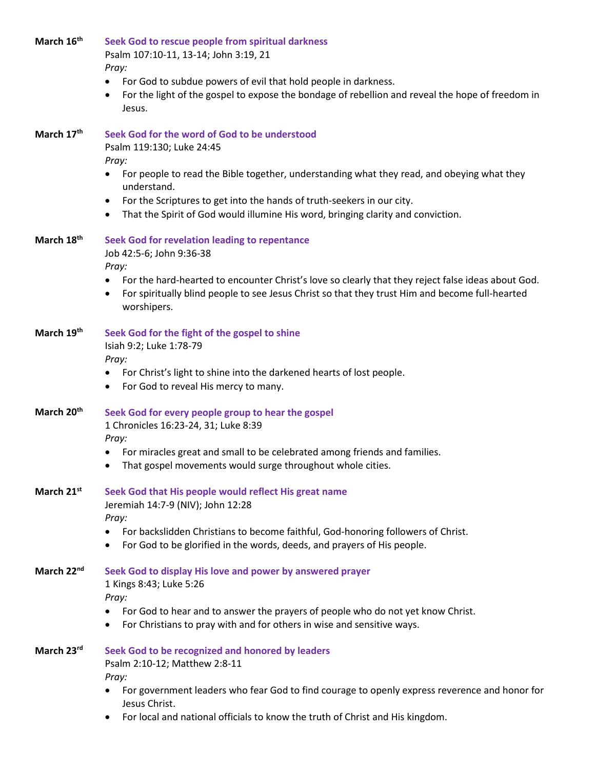| March 16 <sup>th</sup> | Seek God to rescue people from spiritual darkness<br>Psalm 107:10-11, 13-14; John 3:19, 21<br>Pray:                                                                                                                    |
|------------------------|------------------------------------------------------------------------------------------------------------------------------------------------------------------------------------------------------------------------|
|                        | • For God to subdue powers of evil that hold people in darkness.<br>For the light of the gospel to expose the bondage of rebellion and reveal the hope of freedom in<br>Jesus.                                         |
| March 17th             | Seek God for the word of God to be understood<br>Psalm 119:130; Luke 24:45<br>Pray:                                                                                                                                    |
|                        | For people to read the Bible together, understanding what they read, and obeying what they<br>$\bullet$<br>understand.                                                                                                 |
|                        | For the Scriptures to get into the hands of truth-seekers in our city.<br>٠<br>That the Spirit of God would illumine His word, bringing clarity and conviction.<br>٠                                                   |
| March 18 <sup>th</sup> | Seek God for revelation leading to repentance<br>Job 42:5-6; John 9:36-38<br>Pray:                                                                                                                                     |
|                        | • For the hard-hearted to encounter Christ's love so clearly that they reject false ideas about God.<br>For spiritually blind people to see Jesus Christ so that they trust Him and become full-hearted<br>worshipers. |
| March 19th             | Seek God for the fight of the gospel to shine<br>Isiah 9:2; Luke 1:78-79<br>Pray:                                                                                                                                      |
|                        | • For Christ's light to shine into the darkened hearts of lost people.<br>For God to reveal His mercy to many.<br>$\bullet$                                                                                            |
| March 20th             | Seek God for every people group to hear the gospel<br>1 Chronicles 16:23-24, 31; Luke 8:39<br>Pray:                                                                                                                    |
|                        | For miracles great and small to be celebrated among friends and families.<br>That gospel movements would surge throughout whole cities.<br>٠                                                                           |
| March 21 <sup>st</sup> | Seek God that His people would reflect His great name<br>Jeremiah 14:7-9 (NIV); John 12:28<br>Pray:                                                                                                                    |
|                        | • For backslidden Christians to become faithful, God-honoring followers of Christ.<br>For God to be glorified in the words, deeds, and prayers of His people.                                                          |
| March 22nd             | Seek God to display His love and power by answered prayer<br>1 Kings 8:43; Luke 5:26<br>Pray:                                                                                                                          |
|                        | For God to hear and to answer the prayers of people who do not yet know Christ.<br>$\bullet$<br>For Christians to pray with and for others in wise and sensitive ways.                                                 |
| March 23rd             | Seek God to be recognized and honored by leaders<br>Psalm 2:10-12; Matthew 2:8-11<br>Pray:                                                                                                                             |
|                        | For government leaders who fear God to find courage to openly express reverence and honor for<br>Jesus Christ.                                                                                                         |

• For local and national officials to know the truth of Christ and His kingdom.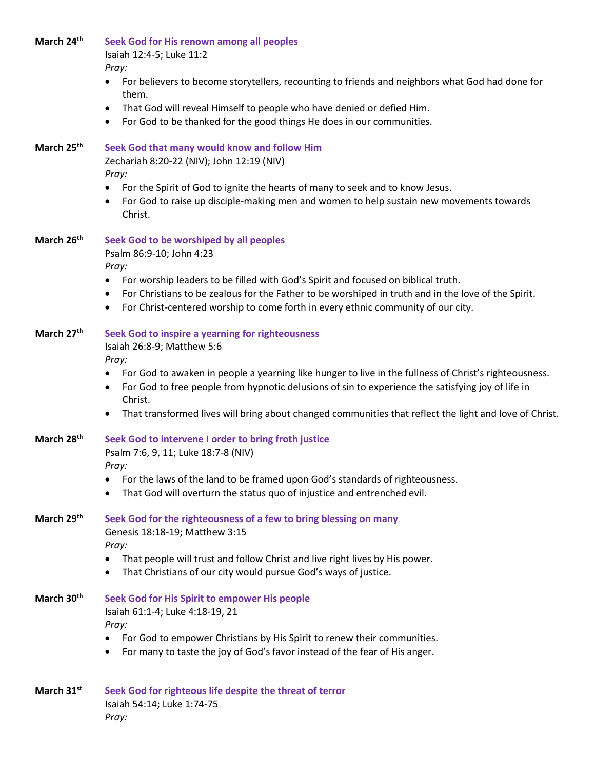**March 24th Seek God for His renown among all peoples**

Isaiah 12:4-5; Luke 11:2

*Pray:*

- For believers to become storytellers, recounting to friends and neighbors what God had done for them.
- That God will reveal Himself to people who have denied or defied Him.
- For God to be thanked for the good things He does in our communities.

| March 25th             | Seek God that many would know and follow Him<br>Zechariah 8:20-22 (NIV); John 12:19 (NIV)<br>Pray:                                                                                                                                                                            |
|------------------------|-------------------------------------------------------------------------------------------------------------------------------------------------------------------------------------------------------------------------------------------------------------------------------|
|                        | For the Spirit of God to ignite the hearts of many to seek and to know Jesus.<br>٠<br>For God to raise up disciple-making men and women to help sustain new movements towards<br>Christ.                                                                                      |
| March 26th             | Seek God to be worshiped by all peoples<br>Psalm 86:9-10; John 4:23<br>Pray:<br>For worship leaders to be filled with God's Spirit and focused on biblical truth.<br>٠<br>For Christians to be zealous for the Father to be worshiped in truth and in the love of the Spirit. |
|                        | For Christ-centered worship to come forth in every ethnic community of our city.                                                                                                                                                                                              |
| March 27th             | Seek God to inspire a yearning for righteousness<br>Isaiah 26:8-9; Matthew 5:6<br>Pray:                                                                                                                                                                                       |
|                        | For God to awaken in people a yearning like hunger to live in the fullness of Christ's righteousness.<br>For God to free people from hypnotic delusions of sin to experience the satisfying joy of life in<br>Christ.                                                         |
|                        | That transformed lives will bring about changed communities that reflect the light and love of Christ.                                                                                                                                                                        |
| March 28 <sup>th</sup> | Seek God to intervene I order to bring froth justice<br>Psalm 7:6, 9, 11; Luke 18:7-8 (NIV)<br>Pray:                                                                                                                                                                          |
|                        | For the laws of the land to be framed upon God's standards of righteousness.<br>٠<br>That God will overturn the status quo of injustice and entrenched evil.                                                                                                                  |
| March 29th             | Seek God for the righteousness of a few to bring blessing on many<br>Genesis 18:18-19; Matthew 3:15<br>Pray:                                                                                                                                                                  |
|                        | That people will trust and follow Christ and live right lives by His power.<br>That Christians of our city would pursue God's ways of justice.<br>$\bullet$                                                                                                                   |
| March 30th             | Seek God for His Spirit to empower His people<br>Isaiah 61:1-4; Luke 4:18-19, 21<br>Pray:                                                                                                                                                                                     |
|                        | For God to empower Christians by His Spirit to renew their communities.<br>For many to taste the joy of God's favor instead of the fear of His anger.                                                                                                                         |
| March 31st             | Seek God for righteous life despite the threat of terror<br>Isaiah 54:14; Luke 1:74-75<br>Pray:                                                                                                                                                                               |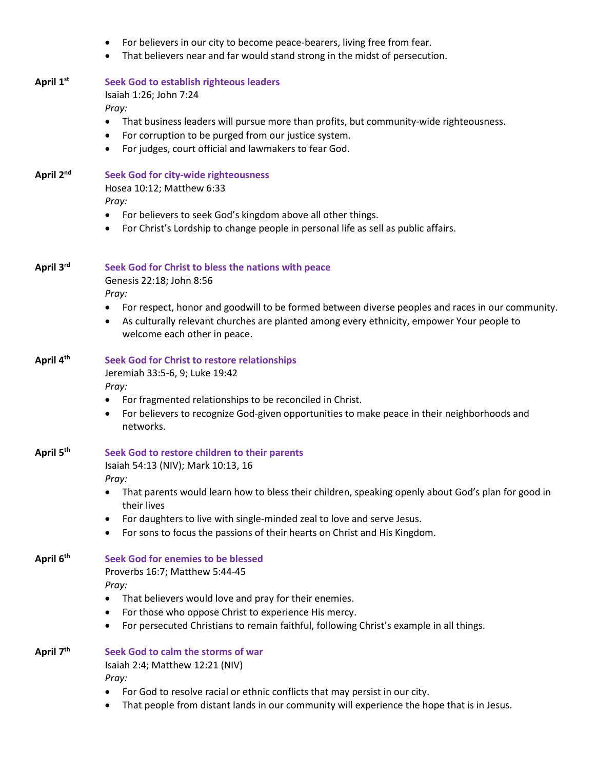- For believers in our city to become peace-bearers, living free from fear.
- That believers near and far would stand strong in the midst of persecution.

#### **April 1st Seek God to establish righteous leaders**

Isaiah 1:26; John 7:24 *Pray:*

- That business leaders will pursue more than profits, but community-wide righteousness.
- For corruption to be purged from our justice system.
- For judges, court official and lawmakers to fear God.

| April 2 <sup>nd</sup> | <b>Seek God for city-wide righteousness</b> |
|-----------------------|---------------------------------------------|
|                       | Hosea 10:12; Matthew 6:33                   |
|                       | $Dr_{N}$                                    |

*Pray:*

- For believers to seek God's kingdom above all other things.
- For Christ's Lordship to change people in personal life as sell as public affairs.

### **April 3rd Seek God for Christ to bless the nations with peace**

Genesis 22:18; John 8:56

*Pray:* 

- For respect, honor and goodwill to be formed between diverse peoples and races in our community.
- As culturally relevant churches are planted among every ethnicity, empower Your people to welcome each other in peace.

# **April 4th Seek God for Christ to restore relationships**

Jeremiah 33:5-6, 9; Luke 19:42

### *Pray:*

- For fragmented relationships to be reconciled in Christ.
- For believers to recognize God-given opportunities to make peace in their neighborhoods and networks.

#### **April 5th Seek God to restore children to their parents**

Isaiah 54:13 (NIV); Mark 10:13, 16

*Pray:*

- That parents would learn how to bless their children, speaking openly about God's plan for good in their lives
- For daughters to live with single-minded zeal to love and serve Jesus.
- For sons to focus the passions of their hearts on Christ and His Kingdom.

**April 6th Seek God for enemies to be blessed** Proverbs 16:7; Matthew 5:44-45

*Pray:*

- That believers would love and pray for their enemies.
- For those who oppose Christ to experience His mercy.
- For persecuted Christians to remain faithful, following Christ's example in all things.

## **April 7th Seek God to calm the storms of war**

Isaiah 2:4; Matthew 12:21 (NIV) *Pray:*

- For God to resolve racial or ethnic conflicts that may persist in our city.
- That people from distant lands in our community will experience the hope that is in Jesus.